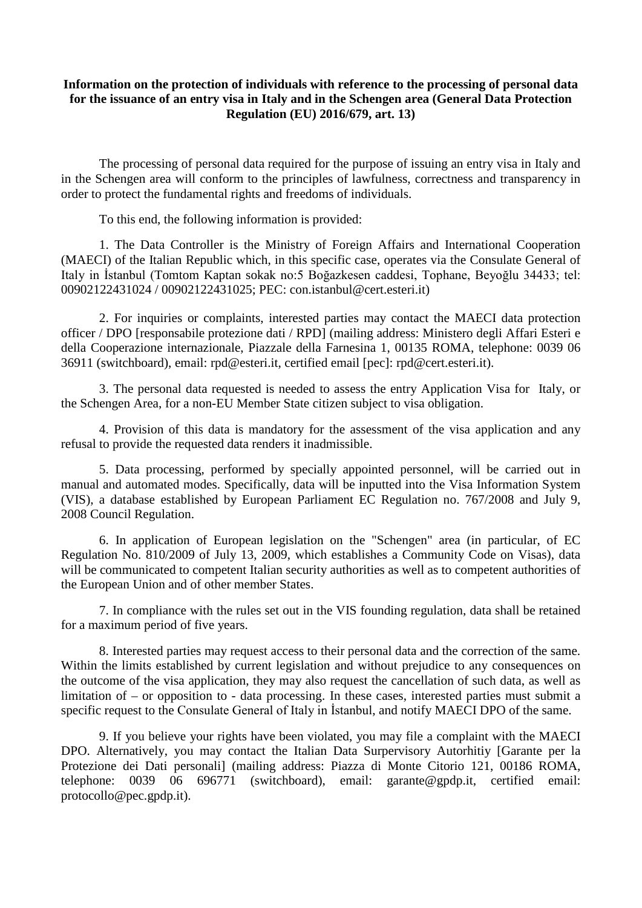## **Information on the protection of individuals with reference to the processing of personal data for the issuance of an entry visa in Italy and in the Schengen area (General Data Protection Regulation (EU) 2016/679, art. 13)**

The processing of personal data required for the purpose of issuing an entry visa in Italy and in the Schengen area will conform to the principles of lawfulness, correctness and transparency in order to protect the fundamental rights and freedoms of individuals.

To this end, the following information is provided:

1. The Data Controller is the Ministry of Foreign Affairs and International Cooperation (MAECI) of the Italian Republic which, in this specific case, operates via the Consulate General of Italy in İstanbul (Tomtom Kaptan sokak no:5 Boğazkesen caddesi, Tophane, Beyoğlu 34433; tel: 00902122431024 / 00902122431025; PEC: con.istanbul@cert.esteri.it)

2. For inquiries or complaints, interested parties may contact the MAECI data protection officer / DPO [responsabile protezione dati / RPD] (mailing address: Ministero degli Affari Esteri e della Cooperazione internazionale, Piazzale della Farnesina 1, 00135 ROMA, telephone: 0039 06 36911 (switchboard), email: rpd@esteri.it, certified email [pec]: rpd@cert.esteri.it).

3. The personal data requested is needed to assess the entry Application Visa for Italy, or the Schengen Area, for a non-EU Member State citizen subject to visa obligation.

4. Provision of this data is mandatory for the assessment of the visa application and any refusal to provide the requested data renders it inadmissible.

5. Data processing, performed by specially appointed personnel, will be carried out in manual and automated modes. Specifically, data will be inputted into the Visa Information System (VIS), a database established by European Parliament EC Regulation no. 767/2008 and July 9, 2008 Council Regulation.

6. In application of European legislation on the "Schengen" area (in particular, of EC Regulation No. 810/2009 of July 13, 2009, which establishes a Community Code on Visas), data will be communicated to competent Italian security authorities as well as to competent authorities of the European Union and of other member States.

7. In compliance with the rules set out in the VIS founding regulation, data shall be retained for a maximum period of five years.

8. Interested parties may request access to their personal data and the correction of the same. Within the limits established by current legislation and without prejudice to any consequences on the outcome of the visa application, they may also request the cancellation of such data, as well as limitation of – or opposition to - data processing. In these cases, interested parties must submit a specific request to the Consulate General of Italy in İstanbul, and notify MAECI DPO of the same.

9. If you believe your rights have been violated, you may file a complaint with the MAECI DPO. Alternatively, you may contact the Italian Data Surpervisory Autorhitiy [Garante per la Protezione dei Dati personali] (mailing address: Piazza di Monte Citorio 121, 00186 ROMA, telephone: 0039 06 696771 (switchboard), email: garante@gpdp.it, certified email: protocollo@pec.gpdp.it).